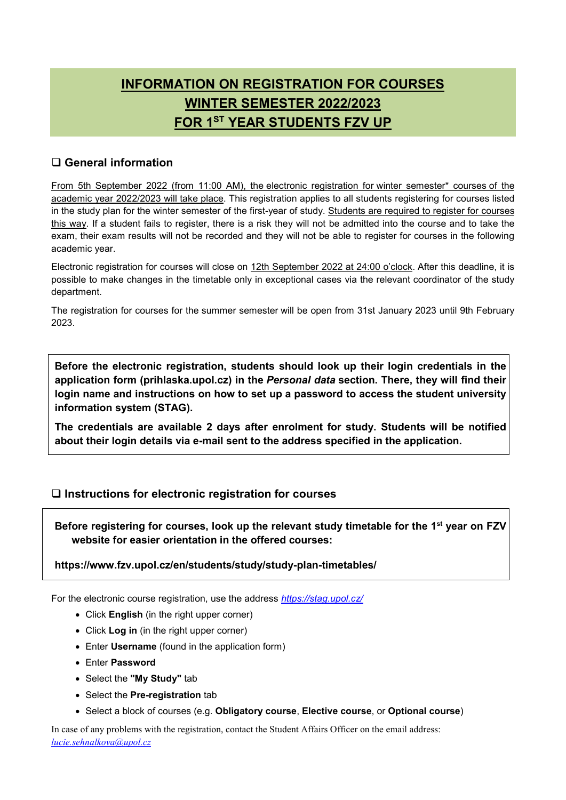# **INFORMATION ON REGISTRATION FOR COURSES WINTER SEMESTER 2022/2023 FOR 1ST YEAR STUDENTS FZV UP**

# **General information**

From 5th September 2022 (from 11:00 AM), the electronic registration for winter semester\* courses of the academic year 2022/2023 will take place. This registration applies to all students registering for courses listed in the study plan for the winter semester of the first-year of study. Students are required to register for courses this way. If a student fails to register, there is a risk they will not be admitted into the course and to take the exam, their exam results will not be recorded and they will not be able to register for courses in the following academic year.

Electronic registration for courses will close on 12th September 2022 at 24:00 o'clock. After this deadline, it is possible to make changes in the timetable only in exceptional cases via the relevant coordinator of the study department.

The registration for courses for the summer semester will be open from 31st January 2023 until 9th February 2023.

**Before the electronic registration, students should look up their login credentials in the application form (prihlaska.upol.cz) in the** *Personal data* **section. There, they will find their login name and instructions on how to set up a password to access the student university information system (STAG).**

**The credentials are available 2 days after enrolment for study. Students will be notified about their login details via e-mail sent to the address specified in the application.**

### **Instructions for electronic registration for courses**

**Before registering for courses, look up the relevant study timetable for the 1st year on FZV website for easier orientation in the offered courses:**

#### **https://www.fzv.upol.cz/en/students/study/study-plan-timetables/**

For the electronic course registration, use the address *https://stag.upol.cz/*

- Click **English** (in the right upper corner)
- Click **Log in** (in the right upper corner)
- Enter **Username** (found in the application form)
- Enter **Password**
- Select the **"My Study"** tab
- Select the **Pre-registration** tab
- Select a block of courses (e.g. **Obligatory course**, **Elective course**, or **Optional course**)

In case of any problems with the registration, contact the Student Affairs Officer on the email address: *lucie.sehnalkova@upol.cz*